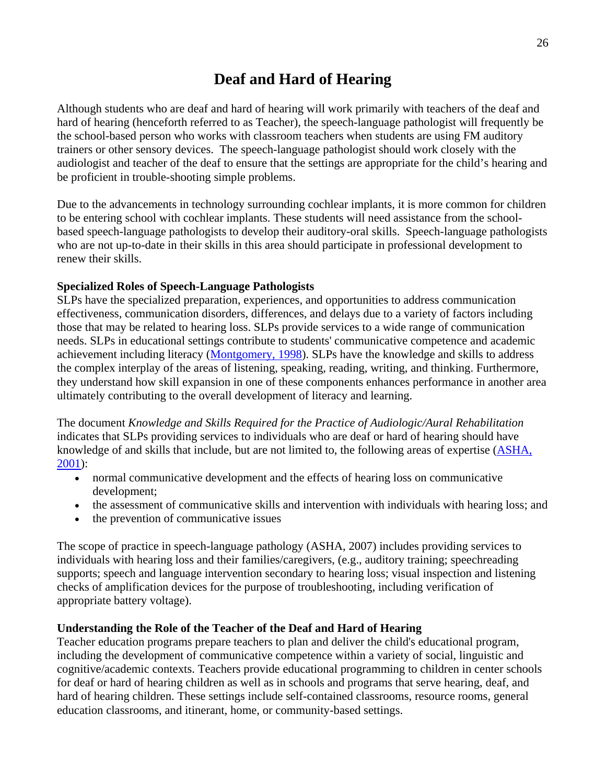## **Deaf and Hard of Hearing**

Although students who are deaf and hard of hearing will work primarily with teachers of the deaf and hard of hearing (henceforth referred to as Teacher), the speech-language pathologist will frequently be the school-based person who works with classroom teachers when students are using FM auditory trainers or other sensory devices. The speech-language pathologist should work closely with the audiologist and teacher of the deaf to ensure that the settings are appropriate for the child's hearing and be proficient in trouble-shooting simple problems.

Due to the advancements in technology surrounding cochlear implants, it is more common for children to be entering school with cochlear implants. These students will need assistance from the schoolbased speech-language pathologists to develop their auditory-oral skills. Speech-language pathologists who are not up-to-date in their skills in this area should participate in professional development to renew their skills.

## **Specialized Roles of Speech-Language Pathologists**

SLPs have the specialized preparation, experiences, and opportunities to address communication effectiveness, communication disorders, differences, and delays due to a variety of factors including those that may be related to hearing loss. SLPs provide services to a wide range of communication needs. SLPs in educational settings contribute to students' communicative competence and academic achievement including literacy (Montgomery, 1998). SLPs have the knowledge and skills to address the complex interplay of the areas of listening, speaking, reading, writing, and thinking. Furthermore, they understand how skill expansion in one of these components enhances performance in another area ultimately contributing to the overall development of literacy and learning.

The document *Knowledge and Skills Required for the Practice of Audiologic/Aural Rehabilitation* indicates that SLPs providing services to individuals who are deaf or hard of hearing should have knowledge of and skills that include, but are not limited to, the following areas of expertise (ASHA, 2001):

- normal communicative development and the effects of hearing loss on communicative development;
- the assessment of communicative skills and intervention with individuals with hearing loss; and
- the prevention of communicative issues

The scope of practice in speech-language pathology (ASHA, 2007) includes providing services to individuals with hearing loss and their families/caregivers, (e.g., auditory training; speechreading supports; speech and language intervention secondary to hearing loss; visual inspection and listening checks of amplification devices for the purpose of troubleshooting, including verification of appropriate battery voltage).

## **Understanding the Role of the Teacher of the Deaf and Hard of Hearing**

Teacher education programs prepare teachers to plan and deliver the child's educational program, including the development of communicative competence within a variety of social, linguistic and cognitive/academic contexts. Teachers provide educational programming to children in center schools for deaf or hard of hearing children as well as in schools and programs that serve hearing, deaf, and hard of hearing children. These settings include self-contained classrooms, resource rooms, general education classrooms, and itinerant, home, or community-based settings.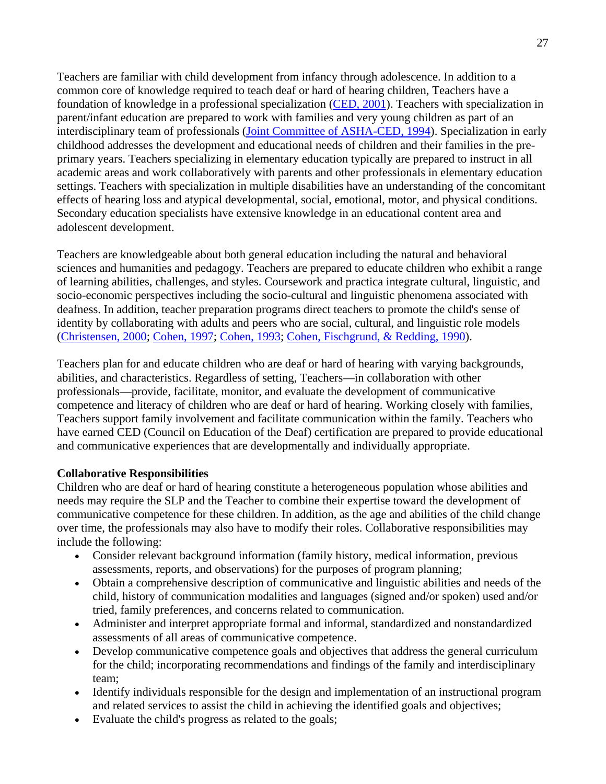Teachers are familiar with child development from infancy through adolescence. In addition to a common core of knowledge required to teach deaf or hard of hearing children, Teachers have a foundation of knowledge in a professional specialization (CED, 2001). Teachers with specialization in parent/infant education are prepared to work with families and very young children as part of an interdisciplinary team of professionals (Joint Committee of ASHA-CED, 1994). Specialization in early childhood addresses the development and educational needs of children and their families in the preprimary years. Teachers specializing in elementary education typically are prepared to instruct in all academic areas and work collaboratively with parents and other professionals in elementary education settings. Teachers with specialization in multiple disabilities have an understanding of the concomitant effects of hearing loss and atypical developmental, social, emotional, motor, and physical conditions. Secondary education specialists have extensive knowledge in an educational content area and adolescent development.

Teachers are knowledgeable about both general education including the natural and behavioral sciences and humanities and pedagogy. Teachers are prepared to educate children who exhibit a range of learning abilities, challenges, and styles. Coursework and practica integrate cultural, linguistic, and socio-economic perspectives including the socio-cultural and linguistic phenomena associated with deafness. In addition, teacher preparation programs direct teachers to promote the child's sense of identity by collaborating with adults and peers who are social, cultural, and linguistic role models (Christensen, 2000; Cohen, 1997; Cohen, 1993; Cohen, Fischgrund, & Redding, 1990).

Teachers plan for and educate children who are deaf or hard of hearing with varying backgrounds, abilities, and characteristics. Regardless of setting, Teachers—in collaboration with other professionals—provide, facilitate, monitor, and evaluate the development of communicative competence and literacy of children who are deaf or hard of hearing. Working closely with families, Teachers support family involvement and facilitate communication within the family. Teachers who have earned CED (Council on Education of the Deaf) certification are prepared to provide educational and communicative experiences that are developmentally and individually appropriate.

## **Collaborative Responsibilities**

Children who are deaf or hard of hearing constitute a heterogeneous population whose abilities and needs may require the SLP and the Teacher to combine their expertise toward the development of communicative competence for these children. In addition, as the age and abilities of the child change over time, the professionals may also have to modify their roles. Collaborative responsibilities may include the following:

- Consider relevant background information (family history, medical information, previous assessments, reports, and observations) for the purposes of program planning;
- Obtain a comprehensive description of communicative and linguistic abilities and needs of the child, history of communication modalities and languages (signed and/or spoken) used and/or tried, family preferences, and concerns related to communication.
- Administer and interpret appropriate formal and informal, standardized and nonstandardized assessments of all areas of communicative competence.
- Develop communicative competence goals and objectives that address the general curriculum for the child; incorporating recommendations and findings of the family and interdisciplinary team;
- Identify individuals responsible for the design and implementation of an instructional program and related services to assist the child in achieving the identified goals and objectives;
- Evaluate the child's progress as related to the goals;